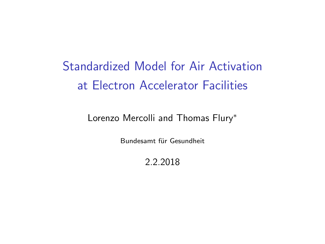Standardized Model for Air Activation at Electron Accelerator Facilities

Lorenzo Mercolli and Thomas Flury<sup>∗</sup>

Bundesamt für Gesundheit

2.2.2018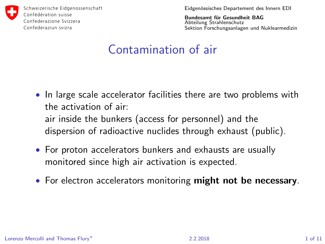

Eidgenössisches Departement des Innern EDI

Bundesamt für Gesundheit BAG Abteilung Strahlenschutz Sektion Forschungsanlagen und Nuklearmedizin

### Contamination of air

- In large scale accelerator facilities there are two problems with the activation of air: air inside the bunkers (access for personnel) and the
	- dispersion of radioactive nuclides through exhaust (public).
- For proton accelerators bunkers and exhausts are usually monitored since high air activation is expected.
- For electron accelerators monitoring might not be necessary.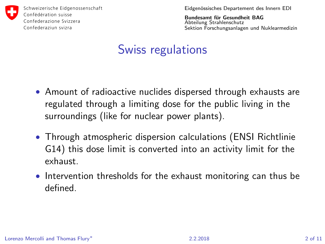

Eidgenössisches Departement des Innern EDI

Bundesamt für Gesundheit BAG Abteilung Strahlenschutz Sektion Forschungsanlagen und Nuklearmedizin

## Swiss regulations

- Amount of radioactive nuclides dispersed through exhausts are regulated through a limiting dose for the public living in the surroundings (like for nuclear power plants).
- Through atmospheric dispersion calculations (ENSI Richtlinie G14) this dose limit is converted into an activity limit for the exhaust.
- Intervention thresholds for the exhaust monitoring can thus be defined.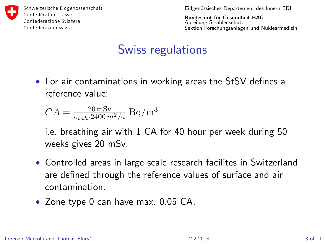

Eidgenössisches Departement des Innern EDI

Bundesamt für Gesundheit BAG Abteilung Strahlenschutz Sektion Forschungsanlagen und Nuklearmedizin

# Swiss regulations

• For air contaminations in working areas the StSV defines a reference value:

$$
CA = \frac{20 \,\mathrm{mSv}}{e_{inh} \cdot 2400 \, m^2/a}
$$
 Bq/m<sup>3</sup>

i.e. breathing air with 1 CA for 40 hour per week during 50 weeks gives 20 mSv.

- Controlled areas in large scale research facilites in Switzerland are defined through the reference values of surface and air contamination.
- Zone type 0 can have max. 0.05 CA.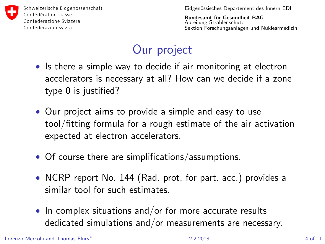

Eidgenössisches Departement des Innern EDI

Bundesamt für Gesundheit BAG Abteilung Strahlenschutz Sektion Forschungsanlagen und Nuklearmedizin

# Our project

- Is there a simple way to decide if air monitoring at electron accelerators is necessary at all? How can we decide if a zone type 0 is justified?
- Our project aims to provide a simple and easy to use tool/fitting formula for a rough estimate of the air activation expected at electron accelerators.
- Of course there are simplifications/assumptions.
- NCRP report No. 144 (Rad. prot. for part. acc.) provides a similar tool for such estimates.
- In complex situations and/or for more accurate results dedicated simulations and/or measurements are necessary.

Lorenzo Mercolli and Thomas Flury<sup>∗</sup> 2.2.2018 4 of 11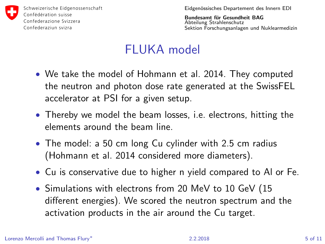

Eidgenössisches Departement des Innern EDI

Bundesamt für Gesundheit BAG Abteilung Strahlenschutz Sektion Forschungsanlagen und Nuklearmedizin

## FLUKA model

- We take the model of Hohmann et al. 2014. They computed the neutron and photon dose rate generated at the SwissFEL accelerator at PSI for a given setup.
- Thereby we model the beam losses, i.e. electrons, hitting the elements around the beam line.
- The model: a 50 cm long Cu cylinder with 2.5 cm radius (Hohmann et al. 2014 considered more diameters).
- Cu is conservative due to higher n yield compared to Al or Fe.
- Simulations with electrons from 20 MeV to 10 GeV (15 different energies). We scored the neutron spectrum and the activation products in the air around the Cu target.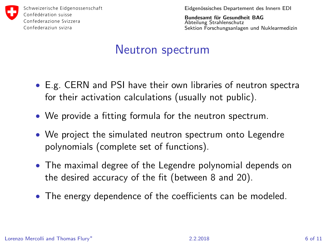

Eidgenössisches Departement des Innern EDI

Bundesamt für Gesundheit BAG Abteilung Strahlenschutz Sektion Forschungsanlagen und Nuklearmedizin

### Neutron spectrum

- E.g. CERN and PSI have their own libraries of neutron spectra for their activation calculations (usually not public).
- We provide a fitting formula for the neutron spectrum.
- We project the simulated neutron spectrum onto Legendre polynomials (complete set of functions).
- The maximal degree of the Legendre polynomial depends on the desired accuracy of the fit (between 8 and 20).
- The energy dependence of the coefficients can be modeled.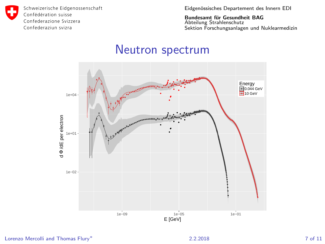Eidgenössisches Departement des Innern EDI

Bundesamt für Gesundheit BAG Abteilung Strahlenschutz Sektion Forschungsanlagen und Nuklearmedizin

#### Neutron spectrum



Lorenzo Mercolli and Thomas Flury<sup>∗</sup> 2.2.2018 7 of 11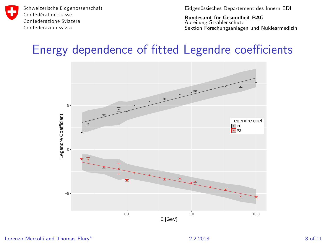

Eidgenössisches Departement des Innern EDI

Bundesamt für Gesundheit BAG Abteilung Strahlenschutz Sektion Forschungsanlagen und Nuklearmedizin

### Energy dependence of fitted Legendre coefficients

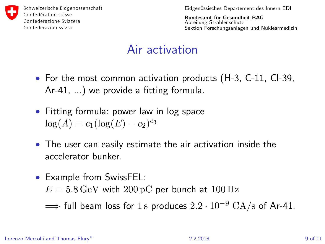

Eidgenössisches Departement des Innern EDI

Bundesamt für Gesundheit BAG Abteilung Strahlenschutz Sektion Forschungsanlagen und Nuklearmedizin

## Air activation

- For the most common activation products (H-3, C-11, CI-39, Ar-41, ...) we provide a fitting formula.
- Fitting formula: power law in log space  $log(A) = c_1(log(E) - c_2)^{c_3}$
- The user can easily estimate the air activation inside the accelerator bunker.
- Example from SwissFEL:

 $E = 5.8 \,\text{GeV}$  with  $200 \,\text{pC}$  per bunch at  $100 \,\text{Hz}$ 

 $\Rightarrow$  full beam loss for 1 s produces  $2.2 \cdot 10^{-9}$  CA/s of Ar-41.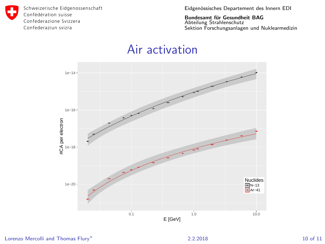Eidgenössisches Departement des Innern EDI

Bundesamt für Gesundheit BAG<br>Abteilung Strahlenschutz Sektion Forschungsanlagen und Nuklearmedizin

### Air activation



Lorenzo Mercolli and Thomas Flury<sup>∗</sup> 10 of 11 and 10 of 11 and 10 of 11 and 10 of 11 and 10 of 11 and 10 of 11 and 10 of 11 and 10 of 11 and 10 of 11 and 10 of 11 and 10 of 11 and 10 and 10 and 10 and 10 and 10 and 10 and